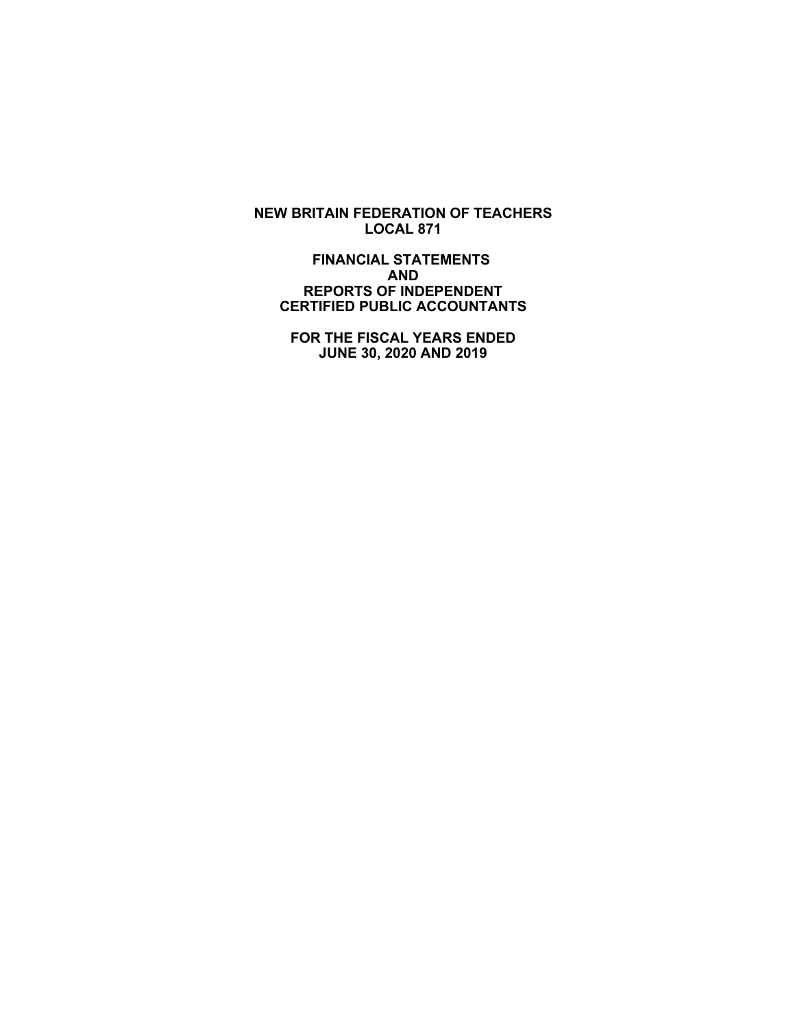**NEW BRITAIN FEDERATION OF TEACHERS LOCAL 871**

 **FINANCIAL STATEMENTS AND REPORTS OF INDEPENDENT CERTIFIED PUBLIC ACCOUNTANTS**

 **FOR THE FISCAL YEARS ENDED JUNE 30, 2020 AND 2019**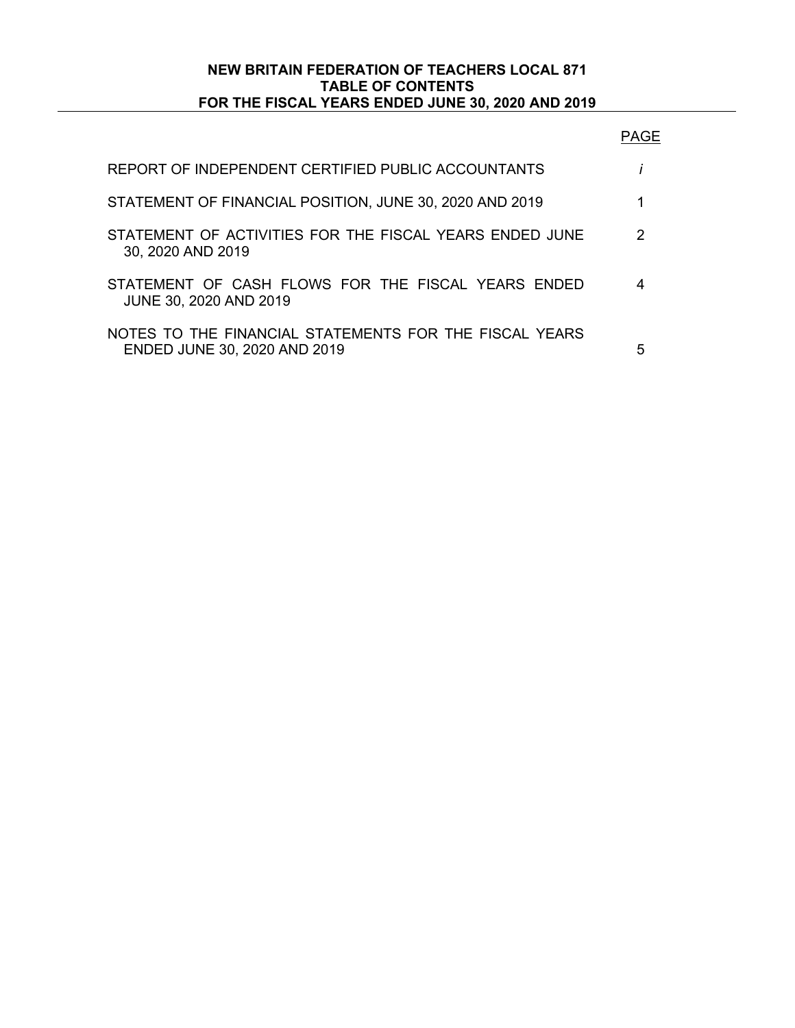## **NEW BRITAIN FEDERATION OF TEACHERS LOCAL 871 TABLE OF CONTENTS FOR THE FISCAL YEARS ENDED JUNE 30, 2020 AND 2019**

| REPORT OF INDEPENDENT CERTIFIED PUBLIC ACCOUNTANTS                                     |   |
|----------------------------------------------------------------------------------------|---|
| STATEMENT OF FINANCIAL POSITION, JUNE 30, 2020 AND 2019                                |   |
| STATEMENT OF ACTIVITIES FOR THE FISCAL YEARS ENDED JUNE<br>30, 2020 AND 2019           | 2 |
| STATEMENT OF CASH FLOWS FOR THE FISCAL YEARS ENDED<br>JUNE 30, 2020 AND 2019           |   |
| NOTES TO THE FINANCIAL STATEMENTS FOR THE FISCAL YEARS<br>ENDED JUNE 30, 2020 AND 2019 | 5 |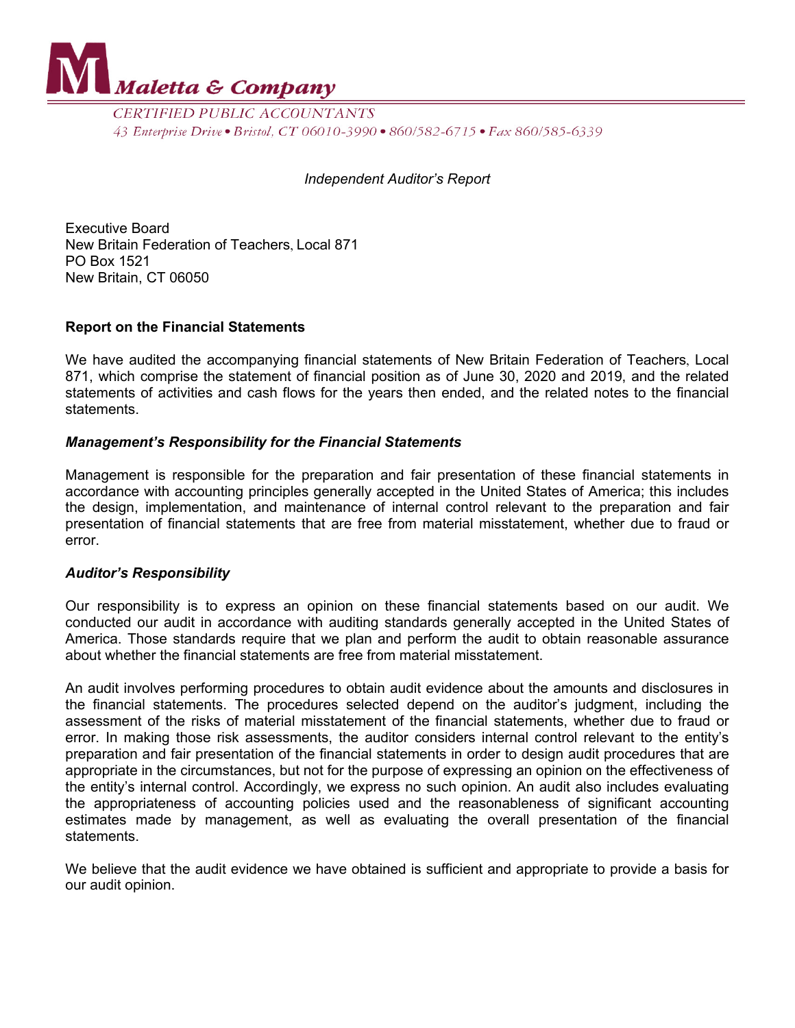

CERTIFIED PUBLIC ACCOUNTANTS 43 Enterprise Drive • Bristol, CT 06010-3990 • 860/582-6715 • Fax 860/585-6339

### *Independent Auditor's Report*

Executive Board New Britain Federation of Teachers, Local 871 PO Box 1521 New Britain, CT 06050

## **Report on the Financial Statements**

We have audited the accompanying financial statements of New Britain Federation of Teachers, Local 871, which comprise the statement of financial position as of June 30, 2020 and 2019, and the related statements of activities and cash flows for the years then ended, and the related notes to the financial statements.

## *Management's Responsibility for the Financial Statements*

Management is responsible for the preparation and fair presentation of these financial statements in accordance with accounting principles generally accepted in the United States of America; this includes the design, implementation, and maintenance of internal control relevant to the preparation and fair presentation of financial statements that are free from material misstatement, whether due to fraud or error.

#### *Auditor's Responsibility*

Our responsibility is to express an opinion on these financial statements based on our audit. We conducted our audit in accordance with auditing standards generally accepted in the United States of America. Those standards require that we plan and perform the audit to obtain reasonable assurance about whether the financial statements are free from material misstatement.

An audit involves performing procedures to obtain audit evidence about the amounts and disclosures in the financial statements. The procedures selected depend on the auditor's judgment, including the assessment of the risks of material misstatement of the financial statements, whether due to fraud or error. In making those risk assessments, the auditor considers internal control relevant to the entity's preparation and fair presentation of the financial statements in order to design audit procedures that are appropriate in the circumstances, but not for the purpose of expressing an opinion on the effectiveness of the entity's internal control. Accordingly, we express no such opinion. An audit also includes evaluating the appropriateness of accounting policies used and the reasonableness of significant accounting estimates made by management, as well as evaluating the overall presentation of the financial statements.

We believe that the audit evidence we have obtained is sufficient and appropriate to provide a basis for our audit opinion.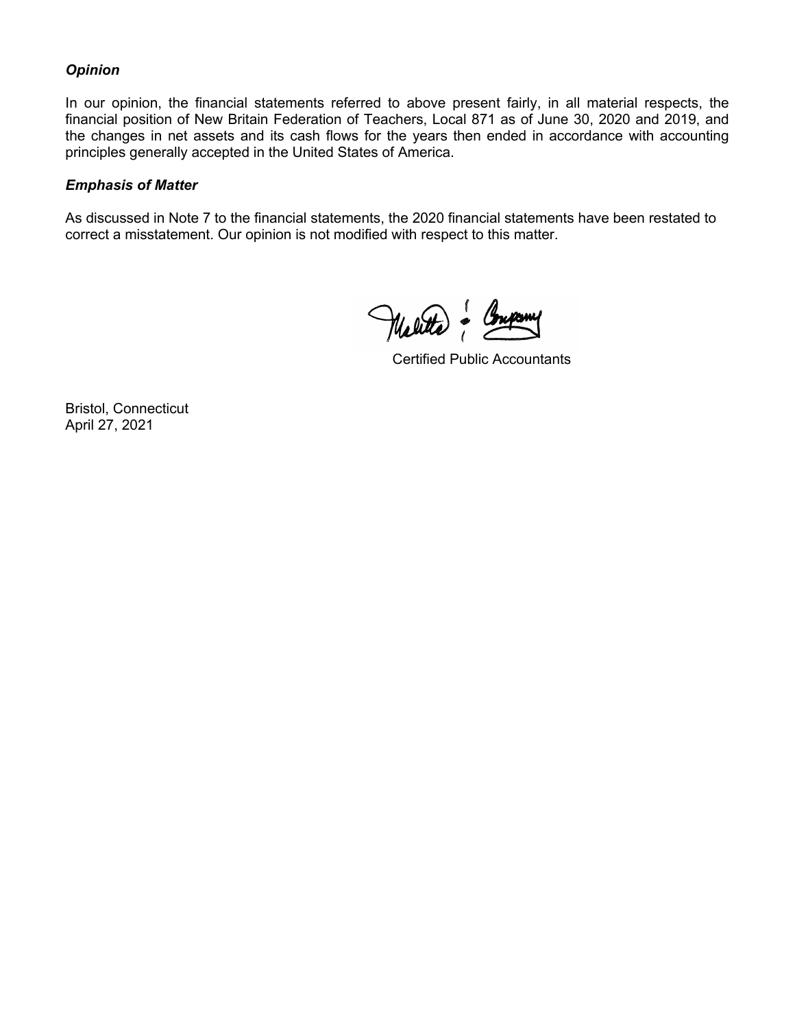## *Opinion*

In our opinion, the financial statements referred to above present fairly, in all material respects, the financial position of New Britain Federation of Teachers, Local 871 as of June 30, 2020 and 2019, and the changes in net assets and its cash flows for the years then ended in accordance with accounting principles generally accepted in the United States of America.

## *Emphasis of Matter*

As discussed in Note 7 to the financial statements, the 2020 financial statements have been restated to correct a misstatement. Our opinion is not modified with respect to this matter.

Welter & Company

Certified Public Accountants

Bristol, Connecticut April 27, 2021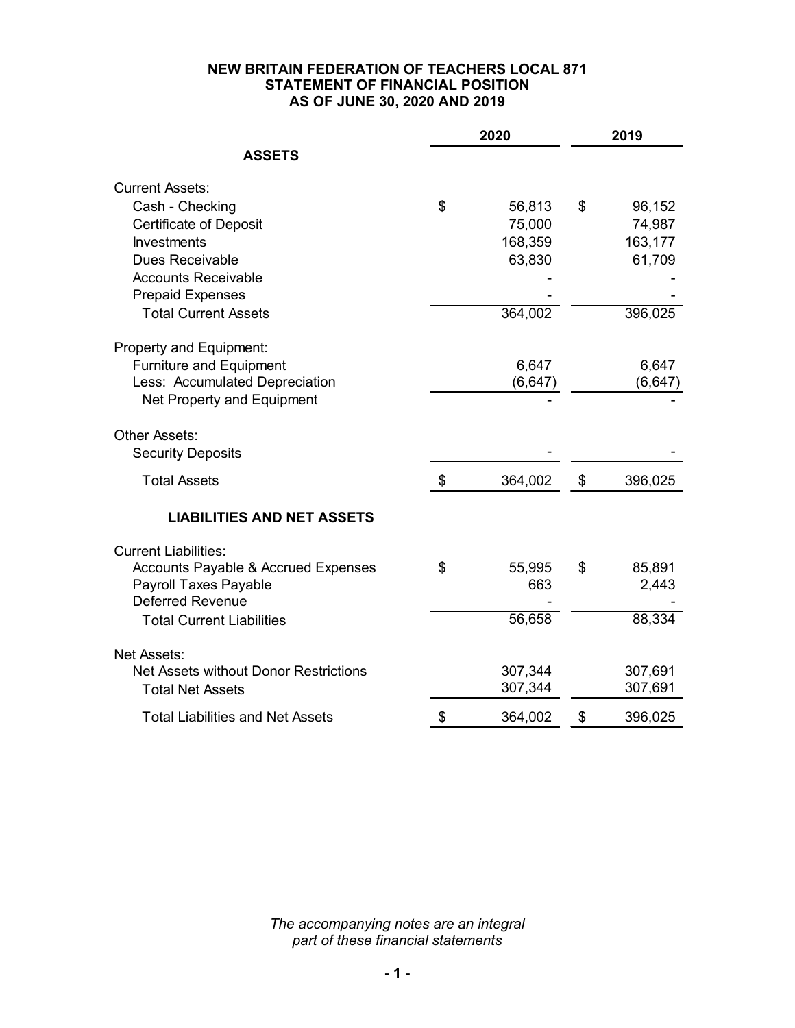## **NEW BRITAIN FEDERATION OF TEACHERS LOCAL 871 STATEMENT OF FINANCIAL POSITION AS OF JUNE 30, 2020 AND 2019**

|                                                | 2020 |          | 2019          |
|------------------------------------------------|------|----------|---------------|
| <b>ASSETS</b>                                  |      |          |               |
| <b>Current Assets:</b>                         |      |          |               |
| Cash - Checking                                | \$   | 56,813   | \$<br>96,152  |
| <b>Certificate of Deposit</b>                  |      | 75,000   | 74,987        |
| <b>Investments</b>                             |      | 168,359  | 163,177       |
| Dues Receivable                                |      | 63,830   | 61,709        |
| <b>Accounts Receivable</b>                     |      |          |               |
| <b>Prepaid Expenses</b>                        |      |          |               |
| <b>Total Current Assets</b>                    |      | 364,002  | 396,025       |
| Property and Equipment:                        |      |          |               |
| <b>Furniture and Equipment</b>                 |      | 6,647    | 6,647         |
| Less: Accumulated Depreciation                 |      | (6, 647) | (6, 647)      |
| Net Property and Equipment                     |      |          |               |
| Other Assets:<br><b>Security Deposits</b>      |      |          |               |
| <b>Total Assets</b>                            | \$   | 364,002  | \$<br>396,025 |
| <b>LIABILITIES AND NET ASSETS</b>              |      |          |               |
| <b>Current Liabilities:</b>                    |      |          |               |
| <b>Accounts Payable &amp; Accrued Expenses</b> | \$   | 55,995   | \$<br>85,891  |
| Payroll Taxes Payable                          |      | 663      | 2,443         |
| <b>Deferred Revenue</b>                        |      |          |               |
| <b>Total Current Liabilities</b>               |      | 56,658   | 88,334        |
| Net Assets:                                    |      |          |               |
| Net Assets without Donor Restrictions          |      | 307,344  | 307,691       |
| <b>Total Net Assets</b>                        |      | 307,344  | 307,691       |
| <b>Total Liabilities and Net Assets</b>        | \$   | 364,002  | \$<br>396,025 |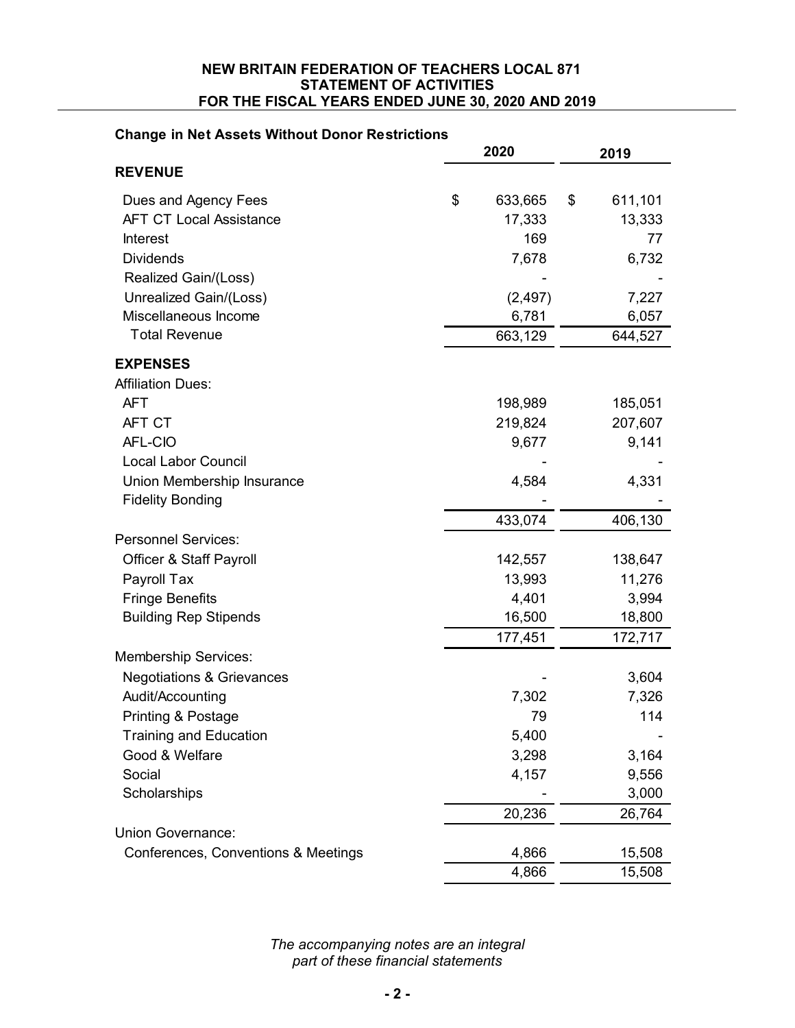#### **NEW BRITAIN FEDERATION OF TEACHERS LOCAL 871 STATEMENT OF ACTIVITIES FOR THE FISCAL YEARS ENDED JUNE 30, 2020 AND 2019**

# **Change in Net Assets Without Donor Restrictions**

|                                      | 2020 |                   | 2019 |         |
|--------------------------------------|------|-------------------|------|---------|
| <b>REVENUE</b>                       |      |                   |      |         |
| Dues and Agency Fees                 | \$   | 633,665           | \$   | 611,101 |
| <b>AFT CT Local Assistance</b>       |      | 17,333            |      | 13,333  |
| <b>Interest</b>                      |      | 169               |      | 77      |
| <b>Dividends</b>                     |      | 7,678             |      | 6,732   |
| Realized Gain/(Loss)                 |      |                   |      |         |
| Unrealized Gain/(Loss)               |      | (2, 497)          |      | 7,227   |
| Miscellaneous Income                 |      | 6,781             |      | 6,057   |
| <b>Total Revenue</b>                 |      | 663,129           |      | 644,527 |
| <b>EXPENSES</b>                      |      |                   |      |         |
| <b>Affiliation Dues:</b>             |      |                   |      |         |
| <b>AFT</b>                           |      | 198,989           |      | 185,051 |
| AFT CT                               |      | 219,824           |      | 207,607 |
| AFL-CIO                              |      | 9,677             |      | 9,141   |
| <b>Local Labor Council</b>           |      |                   |      |         |
| Union Membership Insurance           |      | 4,584             |      | 4,331   |
| <b>Fidelity Bonding</b>              |      |                   |      |         |
|                                      |      | 433,074           |      | 406,130 |
| <b>Personnel Services:</b>           |      |                   |      |         |
| <b>Officer &amp; Staff Payroll</b>   |      | 142,557           |      | 138,647 |
| Payroll Tax                          |      | 13,993            |      | 11,276  |
| <b>Fringe Benefits</b>               |      | 4,401             |      | 3,994   |
| <b>Building Rep Stipends</b>         |      | 16,500<br>177,451 |      | 18,800  |
| <b>Membership Services:</b>          |      |                   |      | 172,717 |
| <b>Negotiations &amp; Grievances</b> |      |                   |      | 3,604   |
| Audit/Accounting                     |      | 7,302             |      | 7,326   |
| Printing & Postage                   |      | 79                |      | 114     |
| <b>Training and Education</b>        |      | 5,400             |      |         |
| Good & Welfare                       |      | 3,298             |      | 3,164   |
| Social                               |      | 4,157             |      | 9,556   |
| Scholarships                         |      |                   |      | 3,000   |
|                                      |      | 20,236            |      | 26,764  |
| Union Governance:                    |      |                   |      |         |
| Conferences, Conventions & Meetings  |      | 4,866             |      | 15,508  |
|                                      |      | 4,866             |      | 15,508  |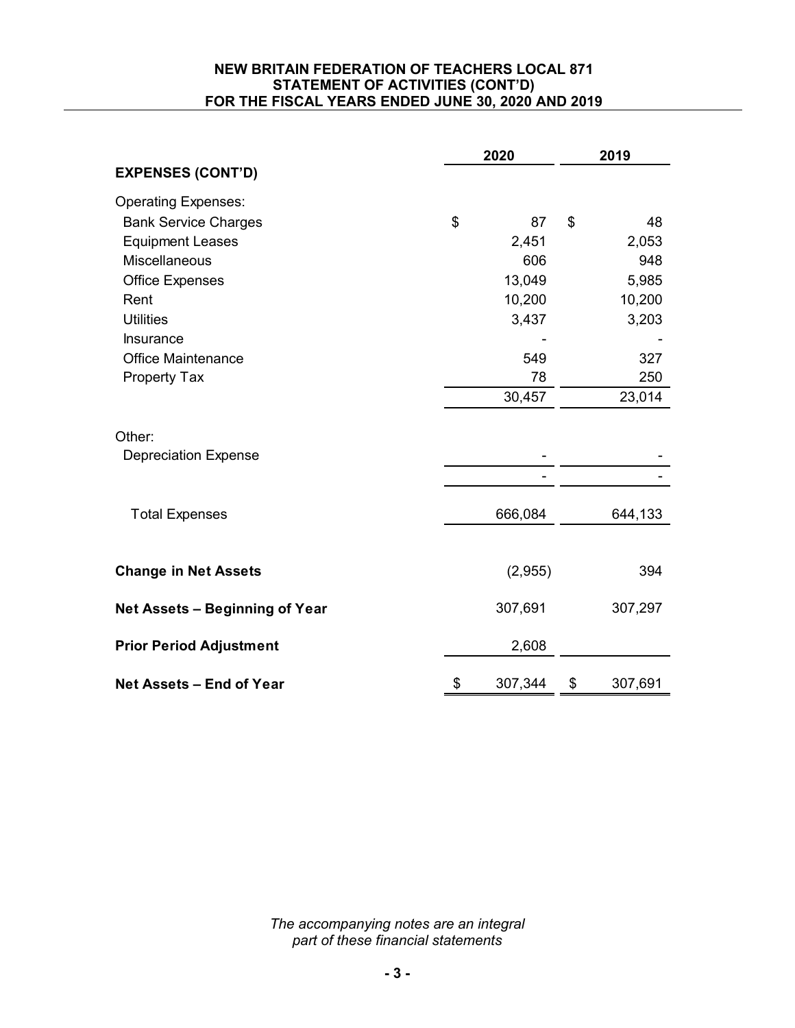## **NEW BRITAIN FEDERATION OF TEACHERS LOCAL 871 STATEMENT OF ACTIVITIES (CONT'D) FOR THE FISCAL YEARS ENDED JUNE 30, 2020 AND 2019**

|                                | 2020 |         | 2019 |         |  |
|--------------------------------|------|---------|------|---------|--|
| <b>EXPENSES (CONT'D)</b>       |      |         |      |         |  |
| <b>Operating Expenses:</b>     |      |         |      |         |  |
| <b>Bank Service Charges</b>    | \$   | 87      | \$   | 48      |  |
| <b>Equipment Leases</b>        |      | 2,451   |      | 2,053   |  |
| <b>Miscellaneous</b>           |      | 606     |      | 948     |  |
| <b>Office Expenses</b>         |      | 13,049  |      | 5,985   |  |
| Rent                           |      | 10,200  |      | 10,200  |  |
| <b>Utilities</b>               |      | 3,437   |      | 3,203   |  |
| Insurance                      |      |         |      |         |  |
| <b>Office Maintenance</b>      |      | 549     |      | 327     |  |
| Property Tax                   |      | 78      |      | 250     |  |
|                                |      | 30,457  |      | 23,014  |  |
| Other:                         |      |         |      |         |  |
| <b>Depreciation Expense</b>    |      |         |      |         |  |
|                                |      |         |      |         |  |
| <b>Total Expenses</b>          |      | 666,084 |      | 644,133 |  |
|                                |      |         |      |         |  |
| <b>Change in Net Assets</b>    |      | (2,955) |      | 394     |  |
| Net Assets - Beginning of Year |      | 307,691 |      | 307,297 |  |
| <b>Prior Period Adjustment</b> |      | 2,608   |      |         |  |
| Net Assets - End of Year       | \$   | 307,344 | \$   | 307,691 |  |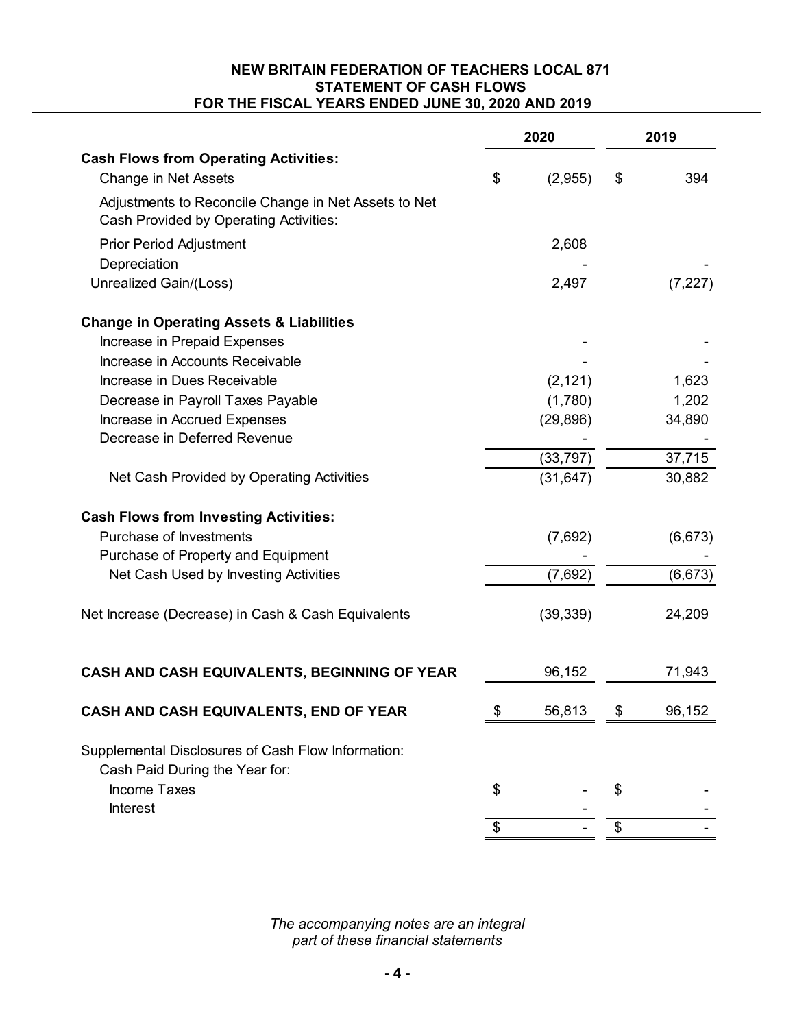## **NEW BRITAIN FEDERATION OF TEACHERS LOCAL 871 STATEMENT OF CASH FLOWS FOR THE FISCAL YEARS ENDED JUNE 30, 2020 AND 2019**

|                                                                                                | 2020 |           | 2019 |          |  |
|------------------------------------------------------------------------------------------------|------|-----------|------|----------|--|
| <b>Cash Flows from Operating Activities:</b>                                                   |      |           |      |          |  |
| <b>Change in Net Assets</b>                                                                    | \$   | (2,955)   | \$   | 394      |  |
| Adjustments to Reconcile Change in Net Assets to Net<br>Cash Provided by Operating Activities: |      |           |      |          |  |
| <b>Prior Period Adjustment</b>                                                                 |      | 2,608     |      |          |  |
| Depreciation                                                                                   |      |           |      |          |  |
| Unrealized Gain/(Loss)                                                                         |      | 2,497     |      | (7, 227) |  |
| <b>Change in Operating Assets &amp; Liabilities</b>                                            |      |           |      |          |  |
| Increase in Prepaid Expenses                                                                   |      |           |      |          |  |
| Increase in Accounts Receivable                                                                |      |           |      |          |  |
| Increase in Dues Receivable                                                                    |      | (2, 121)  |      | 1,623    |  |
| Decrease in Payroll Taxes Payable                                                              |      | (1,780)   |      | 1,202    |  |
| Increase in Accrued Expenses                                                                   |      | (29, 896) |      | 34,890   |  |
| Decrease in Deferred Revenue                                                                   |      |           |      |          |  |
|                                                                                                |      | (33, 797) |      | 37,715   |  |
| Net Cash Provided by Operating Activities                                                      |      | (31, 647) |      | 30,882   |  |
| <b>Cash Flows from Investing Activities:</b>                                                   |      |           |      |          |  |
| Purchase of Investments                                                                        |      | (7,692)   |      | (6, 673) |  |
| Purchase of Property and Equipment                                                             |      |           |      |          |  |
| Net Cash Used by Investing Activities                                                          |      | (7,692)   |      | (6, 673) |  |
| Net Increase (Decrease) in Cash & Cash Equivalents                                             |      | (39, 339) |      | 24,209   |  |
| CASH AND CASH EQUIVALENTS, BEGINNING OF YEAR                                                   |      | 96,152    |      | 71,943   |  |
| CASH AND CASH EQUIVALENTS, END OF YEAR                                                         | \$   | 56,813    | \$   | 96,152   |  |
| Supplemental Disclosures of Cash Flow Information:<br>Cash Paid During the Year for:           |      |           |      |          |  |
| <b>Income Taxes</b>                                                                            | \$   |           | \$   |          |  |
| Interest                                                                                       |      |           |      |          |  |
|                                                                                                | \$   |           | \$   |          |  |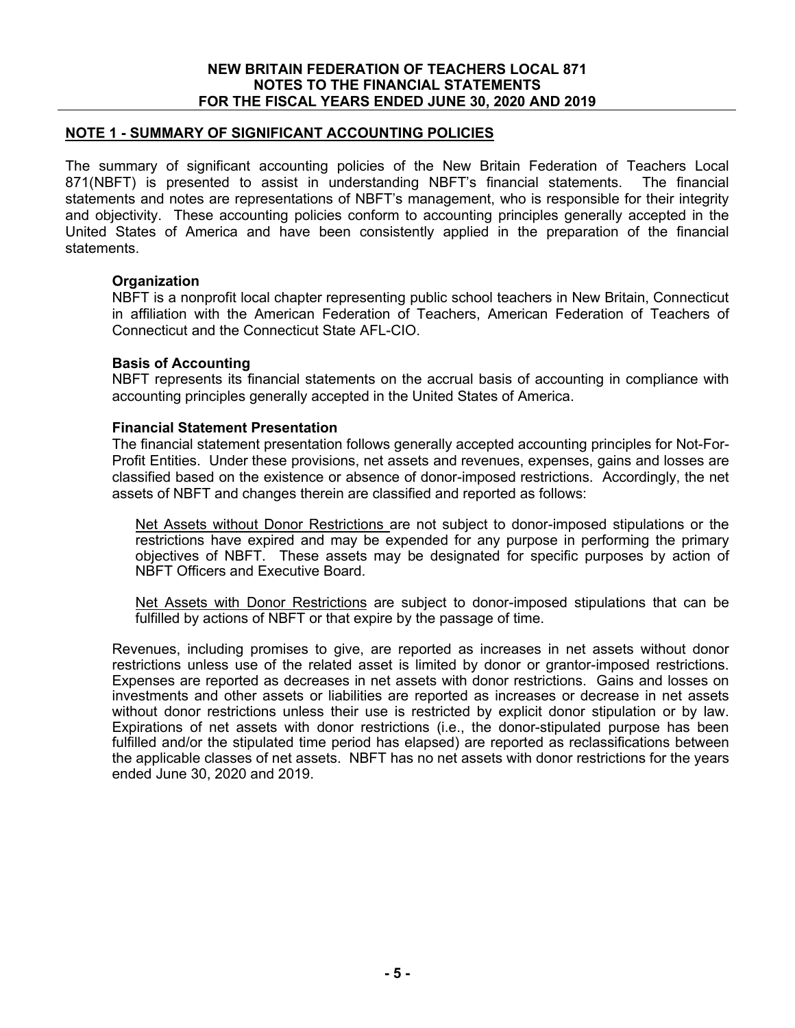## **NOTE 1 - SUMMARY OF SIGNIFICANT ACCOUNTING POLICIES**

The summary of significant accounting policies of the New Britain Federation of Teachers Local 871(NBFT) is presented to assist in understanding NBFT's financial statements. The financial statements and notes are representations of NBFT's management, who is responsible for their integrity and objectivity. These accounting policies conform to accounting principles generally accepted in the United States of America and have been consistently applied in the preparation of the financial statements.

## **Organization**

NBFT is a nonprofit local chapter representing public school teachers in New Britain, Connecticut in affiliation with the American Federation of Teachers, American Federation of Teachers of Connecticut and the Connecticut State AFL-CIO.

## **Basis of Accounting**

NBFT represents its financial statements on the accrual basis of accounting in compliance with accounting principles generally accepted in the United States of America.

#### **Financial Statement Presentation**

The financial statement presentation follows generally accepted accounting principles for Not-For-Profit Entities. Under these provisions, net assets and revenues, expenses, gains and losses are classified based on the existence or absence of donor-imposed restrictions. Accordingly, the net assets of NBFT and changes therein are classified and reported as follows:

Net Assets without Donor Restrictions are not subject to donor-imposed stipulations or the restrictions have expired and may be expended for any purpose in performing the primary objectives of NBFT. These assets may be designated for specific purposes by action of NBFT Officers and Executive Board.

Net Assets with Donor Restrictions are subject to donor-imposed stipulations that can be fulfilled by actions of NBFT or that expire by the passage of time.

Revenues, including promises to give, are reported as increases in net assets without donor restrictions unless use of the related asset is limited by donor or grantor-imposed restrictions. Expenses are reported as decreases in net assets with donor restrictions. Gains and losses on investments and other assets or liabilities are reported as increases or decrease in net assets without donor restrictions unless their use is restricted by explicit donor stipulation or by law. Expirations of net assets with donor restrictions (i.e., the donor-stipulated purpose has been fulfilled and/or the stipulated time period has elapsed) are reported as reclassifications between the applicable classes of net assets. NBFT has no net assets with donor restrictions for the years ended June 30, 2020 and 2019.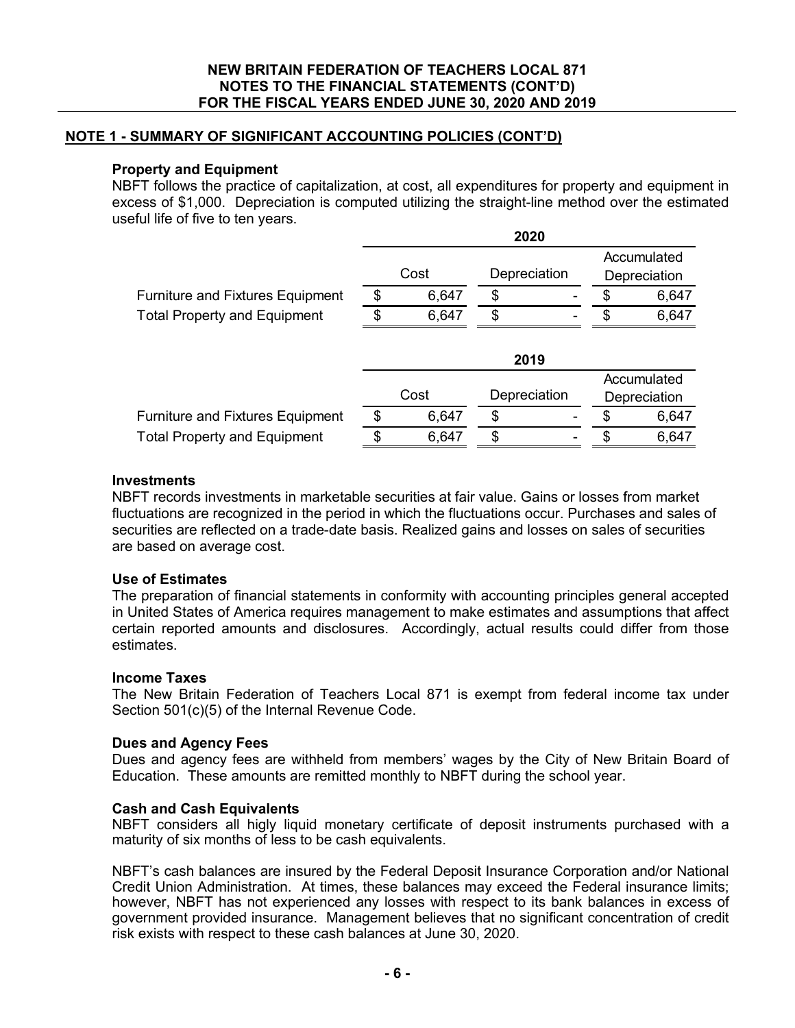# **NOTE 1 - SUMMARY OF SIGNIFICANT ACCOUNTING POLICIES (CONT'D)**

### **Property and Equipment**

NBFT follows the practice of capitalization, at cost, all expenditures for property and equipment in excess of \$1,000. Depreciation is computed utilizing the straight-line method over the estimated useful life of five to ten years.

|                                         | 2020 |       |              |  |    |              |
|-----------------------------------------|------|-------|--------------|--|----|--------------|
|                                         |      |       |              |  |    | Accumulated  |
|                                         |      | Cost  | Depreciation |  |    | Depreciation |
| <b>Furniture and Fixtures Equipment</b> | \$   | 6,647 | \$           |  | \$ | 6,647        |
| <b>Total Property and Equipment</b>     | \$   | 6,647 | \$           |  | \$ | 6,647        |
|                                         |      |       | 2019         |  |    |              |
|                                         |      |       |              |  |    | Accumulated  |
|                                         |      | Cost  | Depreciation |  |    | Depreciation |
| <b>Furniture and Fixtures Equipment</b> | \$.  | 6,647 | \$           |  | \$ | 6,647        |
| <b>Total Property and Equipment</b>     | \$   | 6,647 | \$           |  | S  | 6,647        |

## **Investments**

NBFT records investments in marketable securities at fair value. Gains or losses from market fluctuations are recognized in the period in which the fluctuations occur. Purchases and sales of securities are reflected on a trade-date basis. Realized gains and losses on sales of securities are based on average cost.

## **Use of Estimates**

The preparation of financial statements in conformity with accounting principles general accepted in United States of America requires management to make estimates and assumptions that affect certain reported amounts and disclosures. Accordingly, actual results could differ from those estimates.

#### **Income Taxes**

The New Britain Federation of Teachers Local 871 is exempt from federal income tax under Section 501(c)(5) of the Internal Revenue Code.

#### **Dues and Agency Fees**

Dues and agency fees are withheld from members' wages by the City of New Britain Board of Education. These amounts are remitted monthly to NBFT during the school year.

#### **Cash and Cash Equivalents**

NBFT considers all higly liquid monetary certificate of deposit instruments purchased with a maturity of six months of less to be cash equivalents.

NBFT's cash balances are insured by the Federal Deposit Insurance Corporation and/or National Credit Union Administration. At times, these balances may exceed the Federal insurance limits; however, NBFT has not experienced any losses with respect to its bank balances in excess of government provided insurance. Management believes that no significant concentration of credit risk exists with respect to these cash balances at June 30, 2020.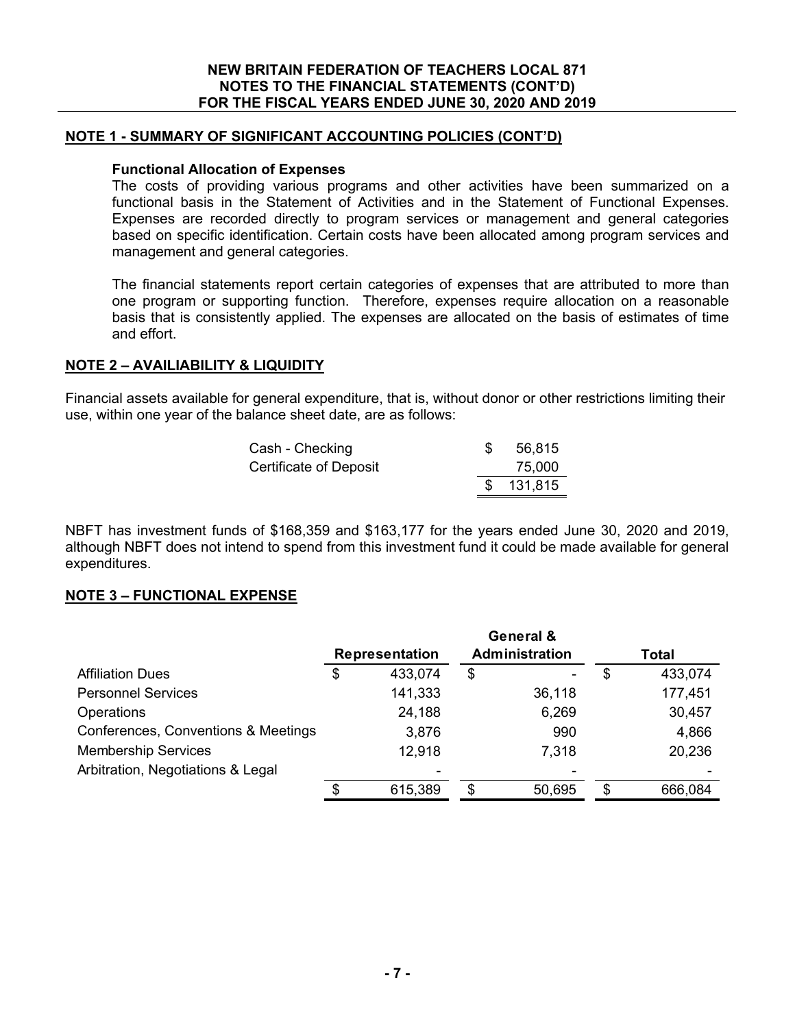## **NOTE 1 - SUMMARY OF SIGNIFICANT ACCOUNTING POLICIES (CONT'D)**

#### **Functional Allocation of Expenses**

The costs of providing various programs and other activities have been summarized on a functional basis in the Statement of Activities and in the Statement of Functional Expenses. Expenses are recorded directly to program services or management and general categories based on specific identification. Certain costs have been allocated among program services and management and general categories.

The financial statements report certain categories of expenses that are attributed to more than one program or supporting function. Therefore, expenses require allocation on a reasonable basis that is consistently applied. The expenses are allocated on the basis of estimates of time and effort.

#### **NOTE 2 – AVAILIABILITY & LIQUIDITY**

Financial assets available for general expenditure, that is, without donor or other restrictions limiting their use, within one year of the balance sheet date, are as follows:

| Cash - Checking        | 56,815    |
|------------------------|-----------|
| Certificate of Deposit | 75,000    |
|                        | \$131,815 |

NBFT has investment funds of \$168,359 and \$163,177 for the years ended June 30, 2020 and 2019, although NBFT does not intend to spend from this investment fund it could be made available for general expenditures.

#### **NOTE 3 – FUNCTIONAL EXPENSE**

|                                     |                       |         |                | General & |    |         |  |
|-------------------------------------|-----------------------|---------|----------------|-----------|----|---------|--|
|                                     | <b>Representation</b> |         | Administration |           |    | Total   |  |
| <b>Affiliation Dues</b>             | \$                    | 433,074 | \$             |           | \$ | 433,074 |  |
| <b>Personnel Services</b>           |                       | 141,333 |                | 36,118    |    | 177,451 |  |
| <b>Operations</b>                   |                       | 24,188  |                | 6,269     |    | 30,457  |  |
| Conferences, Conventions & Meetings |                       | 3,876   |                | 990       |    | 4,866   |  |
| <b>Membership Services</b>          |                       | 12,918  |                | 7,318     |    | 20,236  |  |
| Arbitration, Negotiations & Legal   |                       |         |                |           |    |         |  |
|                                     | \$                    | 615,389 | \$             | 50,695    | S  | 666,084 |  |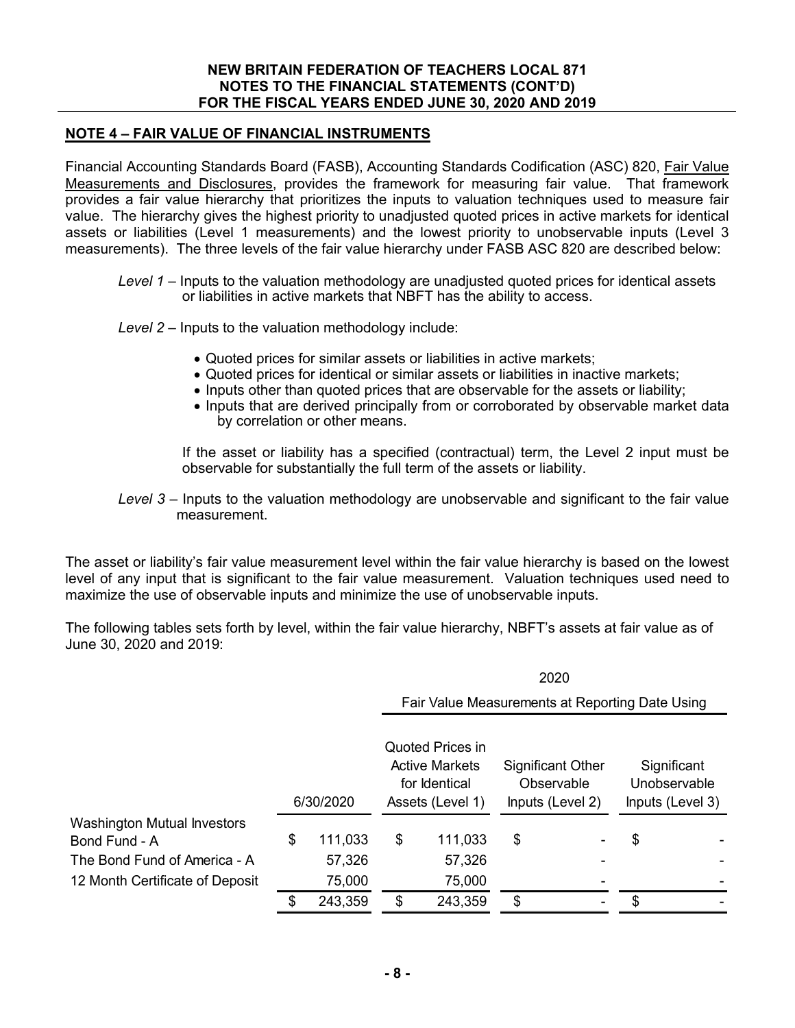# **NOTE 4 – FAIR VALUE OF FINANCIAL INSTRUMENTS**

Financial Accounting Standards Board (FASB), Accounting Standards Codification (ASC) 820, Fair Value Measurements and Disclosures, provides the framework for measuring fair value. That framework provides a fair value hierarchy that prioritizes the inputs to valuation techniques used to measure fair value. The hierarchy gives the highest priority to unadjusted quoted prices in active markets for identical assets or liabilities (Level 1 measurements) and the lowest priority to unobservable inputs (Level 3 measurements). The three levels of the fair value hierarchy under FASB ASC 820 are described below:

- *Level 1* Inputs to the valuation methodology are unadjusted quoted prices for identical assets or liabilities in active markets that NBFT has the ability to access.
- *Level 2* Inputs to the valuation methodology include:
	- Quoted prices for similar assets or liabilities in active markets;
	- Quoted prices for identical or similar assets or liabilities in inactive markets;
	- Inputs other than quoted prices that are observable for the assets or liability;
	- Inputs that are derived principally from or corroborated by observable market data by correlation or other means.

If the asset or liability has a specified (contractual) term, the Level 2 input must be observable for substantially the full term of the assets or liability.

0000

*Level 3* – Inputs to the valuation methodology are unobservable and significant to the fair value measurement.

The asset or liability's fair value measurement level within the fair value hierarchy is based on the lowest level of any input that is significant to the fair value measurement. Valuation techniques used need to maximize the use of observable inputs and minimize the use of unobservable inputs.

The following tables sets forth by level, within the fair value hierarchy, NBFT's assets at fair value as of June 30, 2020 and 2019:

|                                    |           |         | ZUZU                                                                                  |                                                 |                                                            |   |                                                 |  |
|------------------------------------|-----------|---------|---------------------------------------------------------------------------------------|-------------------------------------------------|------------------------------------------------------------|---|-------------------------------------------------|--|
|                                    |           |         |                                                                                       | Fair Value Measurements at Reporting Date Using |                                                            |   |                                                 |  |
|                                    | 6/30/2020 |         | <b>Quoted Prices in</b><br><b>Active Markets</b><br>for Identical<br>Assets (Level 1) |                                                 | <b>Significant Other</b><br>Observable<br>Inputs (Level 2) |   | Significant<br>Unobservable<br>Inputs (Level 3) |  |
| <b>Washington Mutual Investors</b> |           |         |                                                                                       |                                                 |                                                            |   |                                                 |  |
| Bond Fund - A                      | \$        | 111,033 | \$                                                                                    | 111,033                                         | \$                                                         |   | \$                                              |  |
| The Bond Fund of America - A       |           | 57,326  |                                                                                       | 57,326                                          |                                                            |   |                                                 |  |
| 12 Month Certificate of Deposit    |           | 75,000  |                                                                                       | 75,000                                          |                                                            |   |                                                 |  |
|                                    | \$        | 243,359 | \$                                                                                    | 243,359                                         | \$                                                         | ۰ | \$                                              |  |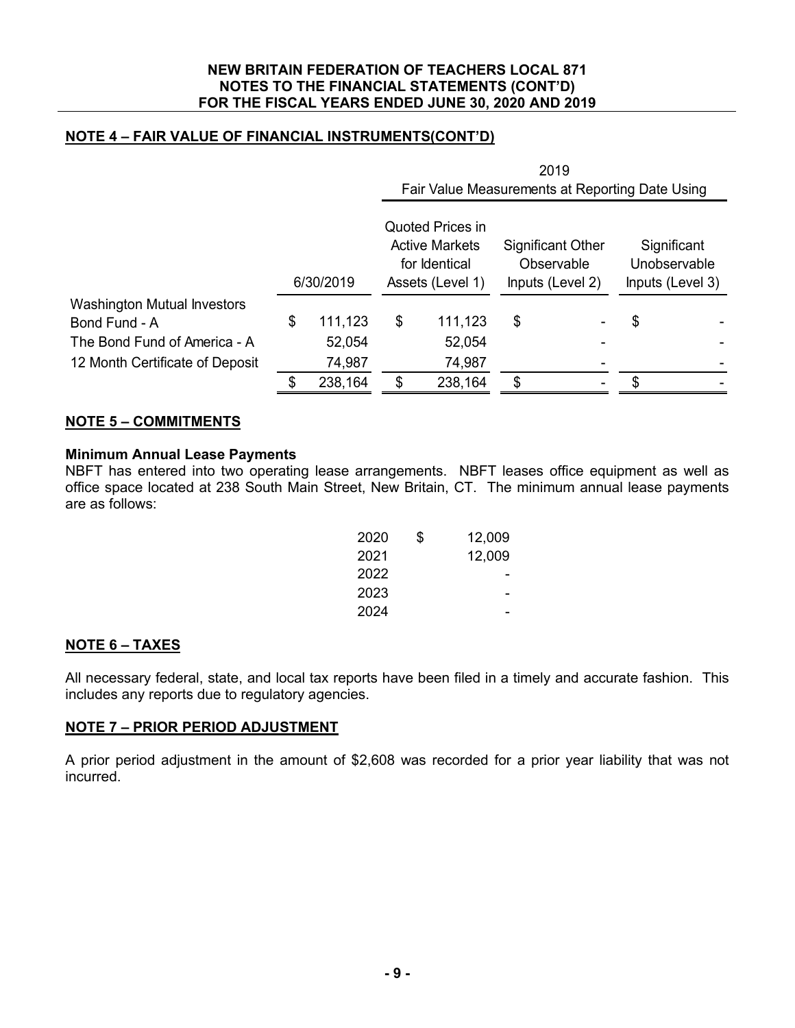# **NOTE 4 – FAIR VALUE OF FINANCIAL INSTRUMENTS(CONT'D)**

|                                    |           |         | 2019<br>Fair Value Measurements at Reporting Date Using                        |         |                                                            |  |                                                 |  |
|------------------------------------|-----------|---------|--------------------------------------------------------------------------------|---------|------------------------------------------------------------|--|-------------------------------------------------|--|
|                                    | 6/30/2019 |         | Quoted Prices in<br><b>Active Markets</b><br>for Identical<br>Assets (Level 1) |         | <b>Significant Other</b><br>Observable<br>Inputs (Level 2) |  | Significant<br>Unobservable<br>Inputs (Level 3) |  |
| <b>Washington Mutual Investors</b> |           |         |                                                                                |         |                                                            |  |                                                 |  |
| Bond Fund - A                      | \$        | 111,123 | \$                                                                             | 111,123 | \$                                                         |  | \$                                              |  |
| The Bond Fund of America - A       |           | 52,054  |                                                                                | 52,054  |                                                            |  |                                                 |  |
| 12 Month Certificate of Deposit    |           | 74,987  |                                                                                | 74,987  |                                                            |  |                                                 |  |
|                                    |           | 238,164 |                                                                                | 238,164 | \$.                                                        |  |                                                 |  |

## **NOTE 5 – COMMITMENTS**

## **Minimum Annual Lease Payments**

NBFT has entered into two operating lease arrangements. NBFT leases office equipment as well as office space located at 238 South Main Street, New Britain, CT. The minimum annual lease payments are as follows:

| 2020 | \$<br>12,009 |
|------|--------------|
| 2021 | 12,009       |
| 2022 |              |
| 2023 |              |
| 2024 |              |

## **NOTE 6 – TAXES**

All necessary federal, state, and local tax reports have been filed in a timely and accurate fashion. This includes any reports due to regulatory agencies.

## **NOTE 7 – PRIOR PERIOD ADJUSTMENT**

A prior period adjustment in the amount of \$2,608 was recorded for a prior year liability that was not incurred.